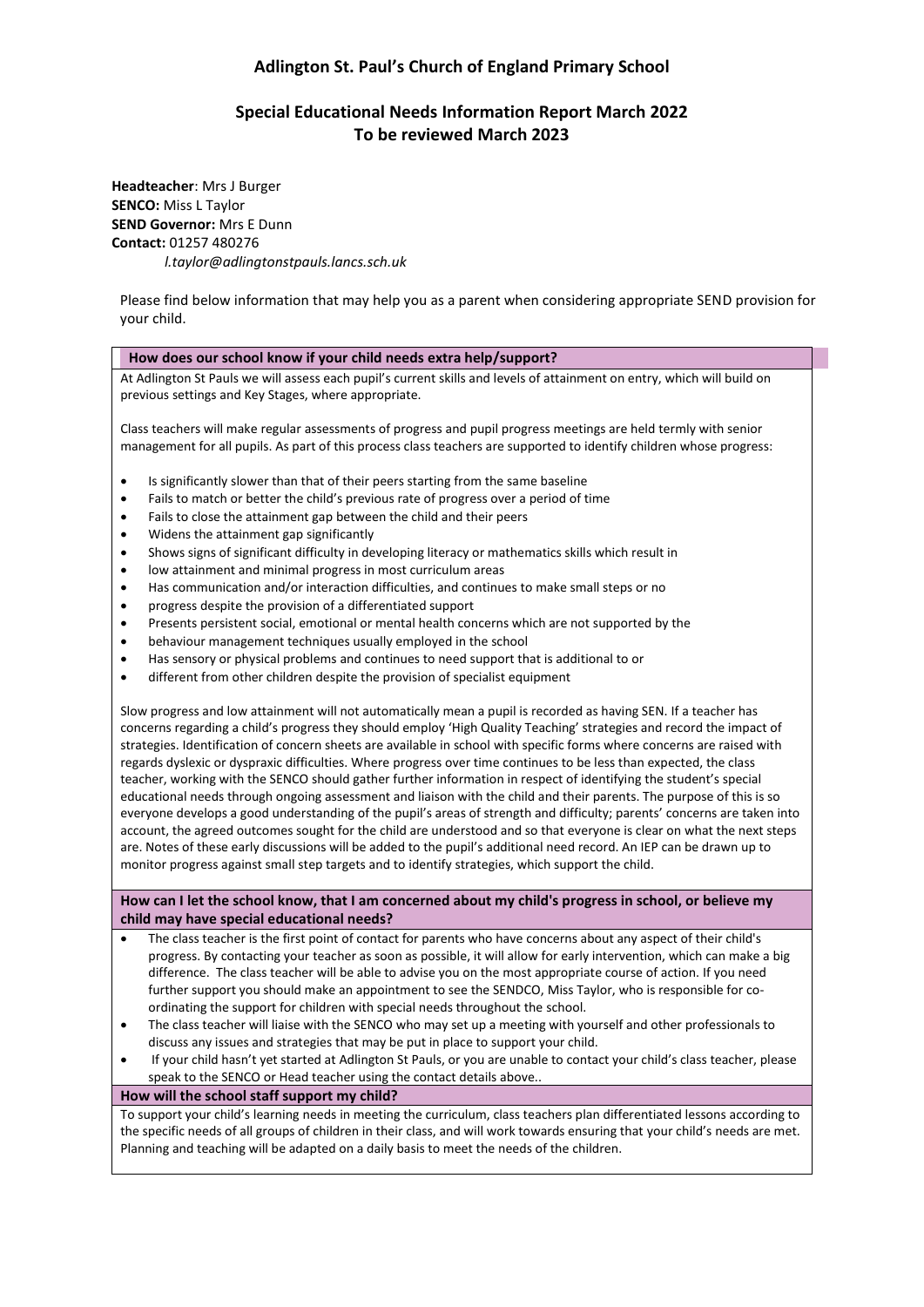# **Adlington St. Paul's Church of England Primary School**

# **Special Educational Needs Information Report March 2022 To be reviewed March 2023**

**Headteacher**: Mrs J Burger **SENCO:** Miss L Taylor **SEND Governor:** Mrs E Dunn **Contact:** 01257 480276 *l.taylor@adlingtonstpauls.lancs.sch.uk* 

Please find below information that may help you as a parent when considering appropriate SEND provision for your child.

# **How does our school know if your child needs extra help/support?**

At Adlington St Pauls we will assess each pupil's current skills and levels of attainment on entry, which will build on previous settings and Key Stages, where appropriate.

Class teachers will make regular assessments of progress and pupil progress meetings are held termly with senior management for all pupils. As part of this process class teachers are supported to identify children whose progress:

- Is significantly slower than that of their peers starting from the same baseline
- Fails to match or better the child's previous rate of progress over a period of time
- Fails to close the attainment gap between the child and their peers
- Widens the attainment gap significantly
- Shows signs of significant difficulty in developing literacy or mathematics skills which result in
- low attainment and minimal progress in most curriculum areas
- Has communication and/or interaction difficulties, and continues to make small steps or no
- progress despite the provision of a differentiated support
- Presents persistent social, emotional or mental health concerns which are not supported by the
- behaviour management techniques usually employed in the school
- Has sensory or physical problems and continues to need support that is additional to or
- different from other children despite the provision of specialist equipment

Slow progress and low attainment will not automatically mean a pupil is recorded as having SEN. If a teacher has concerns regarding a child's progress they should employ 'High Quality Teaching' strategies and record the impact of strategies. Identification of concern sheets are available in school with specific forms where concerns are raised with regards dyslexic or dyspraxic difficulties. Where progress over time continues to be less than expected, the class teacher, working with the SENCO should gather further information in respect of identifying the student's special educational needs through ongoing assessment and liaison with the child and their parents. The purpose of this is so everyone develops a good understanding of the pupil's areas of strength and difficulty; parents' concerns are taken into account, the agreed outcomes sought for the child are understood and so that everyone is clear on what the next steps are. Notes of these early discussions will be added to the pupil's additional need record. An IEP can be drawn up to monitor progress against small step targets and to identify strategies, which support the child.

**How can I let the school know, that I am concerned about my child's progress in school, or believe my child may have special educational needs?**

- The class teacher is the first point of contact for parents who have concerns about any aspect of their child's progress. By contacting your teacher as soon as possible, it will allow for early intervention, which can make a big difference. The class teacher will be able to advise you on the most appropriate course of action. If you need further support you should make an appointment to see the SENDCO, Miss Taylor, who is responsible for coordinating the support for children with special needs throughout the school.
- The class teacher will liaise with the SENCO who may set up a meeting with yourself and other professionals to discuss any issues and strategies that may be put in place to support your child.
- If your child hasn't yet started at Adlington St Pauls, or you are unable to contact your child's class teacher, please speak to the SENCO or Head teacher using the contact details above..

### **How will the school staff support my child?**

To support your child's learning needs in meeting the curriculum, class teachers plan differentiated lessons according to the specific needs of all groups of children in their class, and will work towards ensuring that your child's needs are met. Planning and teaching will be adapted on a daily basis to meet the needs of the children.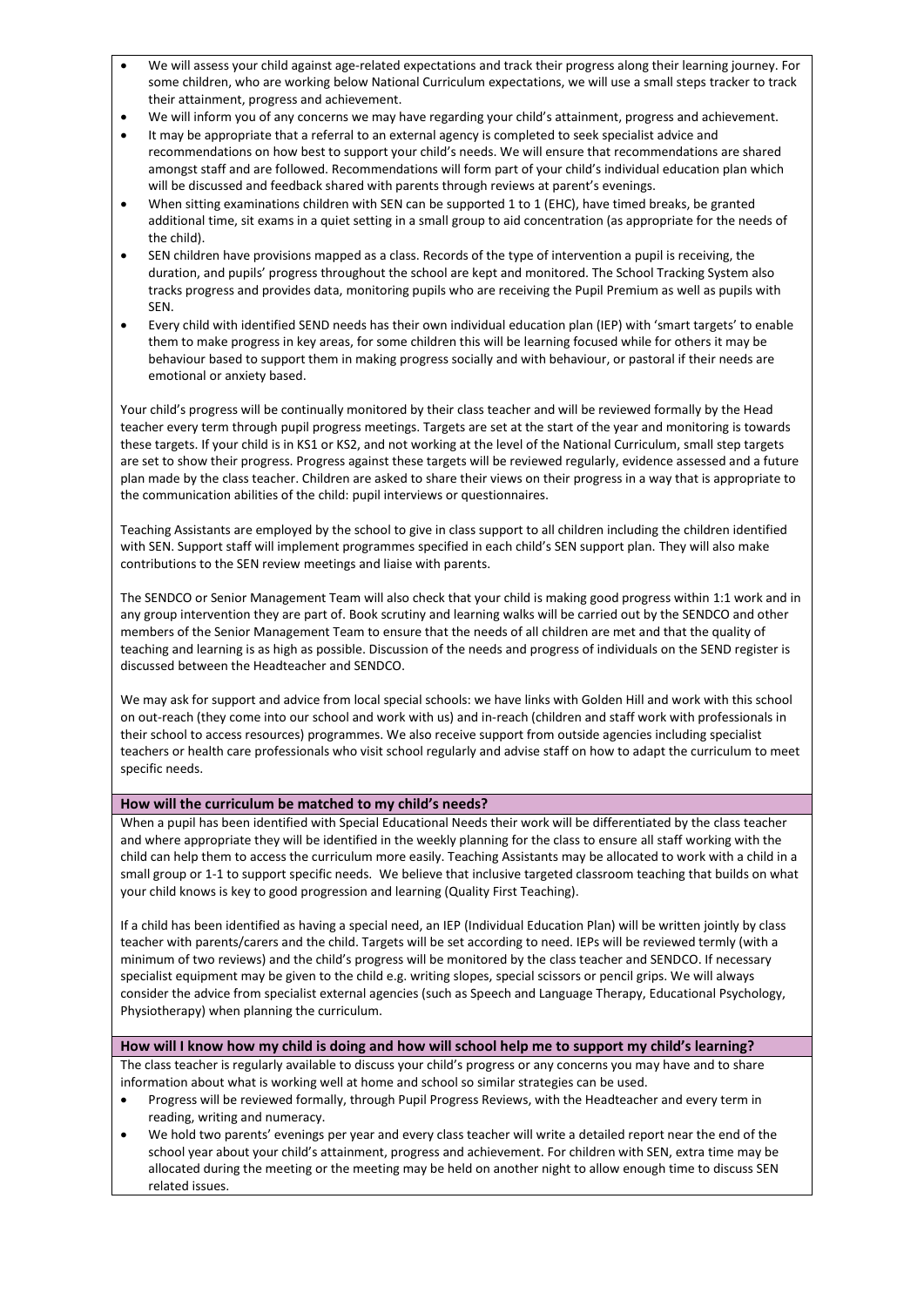- We will assess your child against age-related expectations and track their progress along their learning journey. For some children, who are working below National Curriculum expectations, we will use a small steps tracker to track their attainment, progress and achievement.
- We will inform you of any concerns we may have regarding your child's attainment, progress and achievement.
- It may be appropriate that a referral to an external agency is completed to seek specialist advice and recommendations on how best to support your child's needs. We will ensure that recommendations are shared amongst staff and are followed. Recommendations will form part of your child's individual education plan which will be discussed and feedback shared with parents through reviews at parent's evenings.
- When sitting examinations children with SEN can be supported 1 to 1 (EHC), have timed breaks, be granted additional time, sit exams in a quiet setting in a small group to aid concentration (as appropriate for the needs of the child).
- SEN children have provisions mapped as a class. Records of the type of intervention a pupil is receiving, the duration, and pupils' progress throughout the school are kept and monitored. The School Tracking System also tracks progress and provides data, monitoring pupils who are receiving the Pupil Premium as well as pupils with SEN.
- Every child with identified SEND needs has their own individual education plan (IEP) with 'smart targets' to enable them to make progress in key areas, for some children this will be learning focused while for others it may be behaviour based to support them in making progress socially and with behaviour, or pastoral if their needs are emotional or anxiety based.

Your child's progress will be continually monitored by their class teacher and will be reviewed formally by the Head teacher every term through pupil progress meetings. Targets are set at the start of the year and monitoring is towards these targets. If your child is in KS1 or KS2, and not working at the level of the National Curriculum, small step targets are set to show their progress. Progress against these targets will be reviewed regularly, evidence assessed and a future plan made by the class teacher. Children are asked to share their views on their progress in a way that is appropriate to the communication abilities of the child: pupil interviews or questionnaires.

Teaching Assistants are employed by the school to give in class support to all children including the children identified with SEN. Support staff will implement programmes specified in each child's SEN support plan. They will also make contributions to the SEN review meetings and liaise with parents.

The SENDCO or Senior Management Team will also check that your child is making good progress within 1:1 work and in any group intervention they are part of. Book scrutiny and learning walks will be carried out by the SENDCO and other members of the Senior Management Team to ensure that the needs of all children are met and that the quality of teaching and learning is as high as possible. Discussion of the needs and progress of individuals on the SEND register is discussed between the Headteacher and SENDCO.

We may ask for support and advice from local special schools: we have links with Golden Hill and work with this school on out-reach (they come into our school and work with us) and in-reach (children and staff work with professionals in their school to access resources) programmes. We also receive support from outside agencies including specialist teachers or health care professionals who visit school regularly and advise staff on how to adapt the curriculum to meet specific needs.

# **How will the curriculum be matched to my child's needs?**

When a pupil has been identified with Special Educational Needs their work will be differentiated by the class teacher and where appropriate they will be identified in the weekly planning for the class to ensure all staff working with the child can help them to access the curriculum more easily. Teaching Assistants may be allocated to work with a child in a small group or 1-1 to support specific needs. We believe that inclusive targeted classroom teaching that builds on what your child knows is key to good progression and learning (Quality First Teaching).

If a child has been identified as having a special need, an IEP (Individual Education Plan) will be written jointly by class teacher with parents/carers and the child. Targets will be set according to need. IEPs will be reviewed termly (with a minimum of two reviews) and the child's progress will be monitored by the class teacher and SENDCO. If necessary specialist equipment may be given to the child e.g. writing slopes, special scissors or pencil grips. We will always consider the advice from specialist external agencies (such as Speech and Language Therapy, Educational Psychology, Physiotherapy) when planning the curriculum.

# **How will I know how my child is doing and how will school help me to support my child's learning?**

The class teacher is regularly available to discuss your child's progress or any concerns you may have and to share information about what is working well at home and school so similar strategies can be used.

- Progress will be reviewed formally, through Pupil Progress Reviews, with the Headteacher and every term in reading, writing and numeracy.
- We hold two parents' evenings per year and every class teacher will write a detailed report near the end of the school year about your child's attainment, progress and achievement. For children with SEN, extra time may be allocated during the meeting or the meeting may be held on another night to allow enough time to discuss SEN related issues.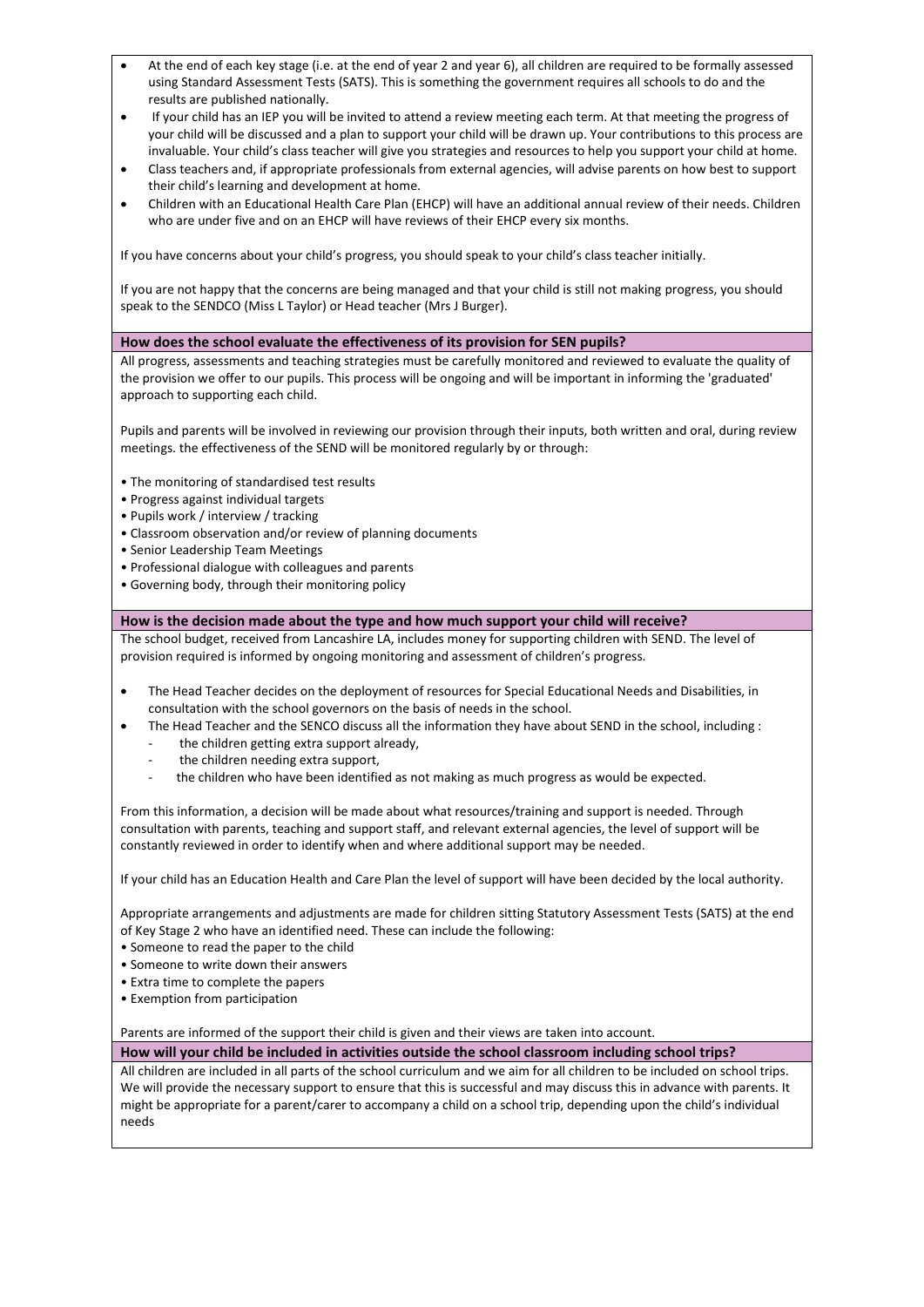- At the end of each key stage (i.e. at the end of year 2 and year 6), all children are required to be formally assessed using Standard Assessment Tests (SATS). This is something the government requires all schools to do and the results are published nationally.
- If your child has an IEP you will be invited to attend a review meeting each term. At that meeting the progress of your child will be discussed and a plan to support your child will be drawn up. Your contributions to this process are invaluable. Your child's class teacher will give you strategies and resources to help you support your child at home.
- Class teachers and, if appropriate professionals from external agencies, will advise parents on how best to support their child's learning and development at home.
- Children with an Educational Health Care Plan (EHCP) will have an additional annual review of their needs. Children who are under five and on an EHCP will have reviews of their EHCP every six months.

If you have concerns about your child's progress, you should speak to your child's class teacher initially.

If you are not happy that the concerns are being managed and that your child is still not making progress, you should speak to the SENDCO (Miss L Taylor) or Head teacher (Mrs J Burger).

## **How does the school evaluate the effectiveness of its provision for SEN pupils?**

All progress, assessments and teaching strategies must be carefully monitored and reviewed to evaluate the quality of the provision we offer to our pupils. This process will be ongoing and will be important in informing the 'graduated' approach to supporting each child.

Pupils and parents will be involved in reviewing our provision through their inputs, both written and oral, during review meetings. the effectiveness of the SEND will be monitored regularly by or through:

- The monitoring of standardised test results
- Progress against individual targets
- Pupils work / interview / tracking
- Classroom observation and/or review of planning documents
- Senior Leadership Team Meetings
- Professional dialogue with colleagues and parents
- Governing body, through their monitoring policy

## **How is the decision made about the type and how much support your child will receive?**

The school budget, received from Lancashire LA, includes money for supporting children with SEND. The level of provision required is informed by ongoing monitoring and assessment of children's progress.

- The Head Teacher decides on the deployment of resources for Special Educational Needs and Disabilities, in consultation with the school governors on the basis of needs in the school.
	- The Head Teacher and the SENCO discuss all the information they have about SEND in the school, including :
		- the children getting extra support already,
		- the children needing extra support,
		- the children who have been identified as not making as much progress as would be expected.

From this information, a decision will be made about what resources/training and support is needed. Through consultation with parents, teaching and support staff, and relevant external agencies, the level of support will be constantly reviewed in order to identify when and where additional support may be needed.

If your child has an Education Health and Care Plan the level of support will have been decided by the local authority.

Appropriate arrangements and adjustments are made for children sitting Statutory Assessment Tests (SATS) at the end of Key Stage 2 who have an identified need. These can include the following:

- Someone to read the paper to the child
- Someone to write down their answers
- Extra time to complete the papers
- Exemption from participation

Parents are informed of the support their child is given and their views are taken into account.

**How will your child be included in activities outside the school classroom including school trips?**

All children are included in all parts of the school curriculum and we aim for all children to be included on school trips. We will provide the necessary support to ensure that this is successful and may discuss this in advance with parents. It might be appropriate for a parent/carer to accompany a child on a school trip, depending upon the child's individual needs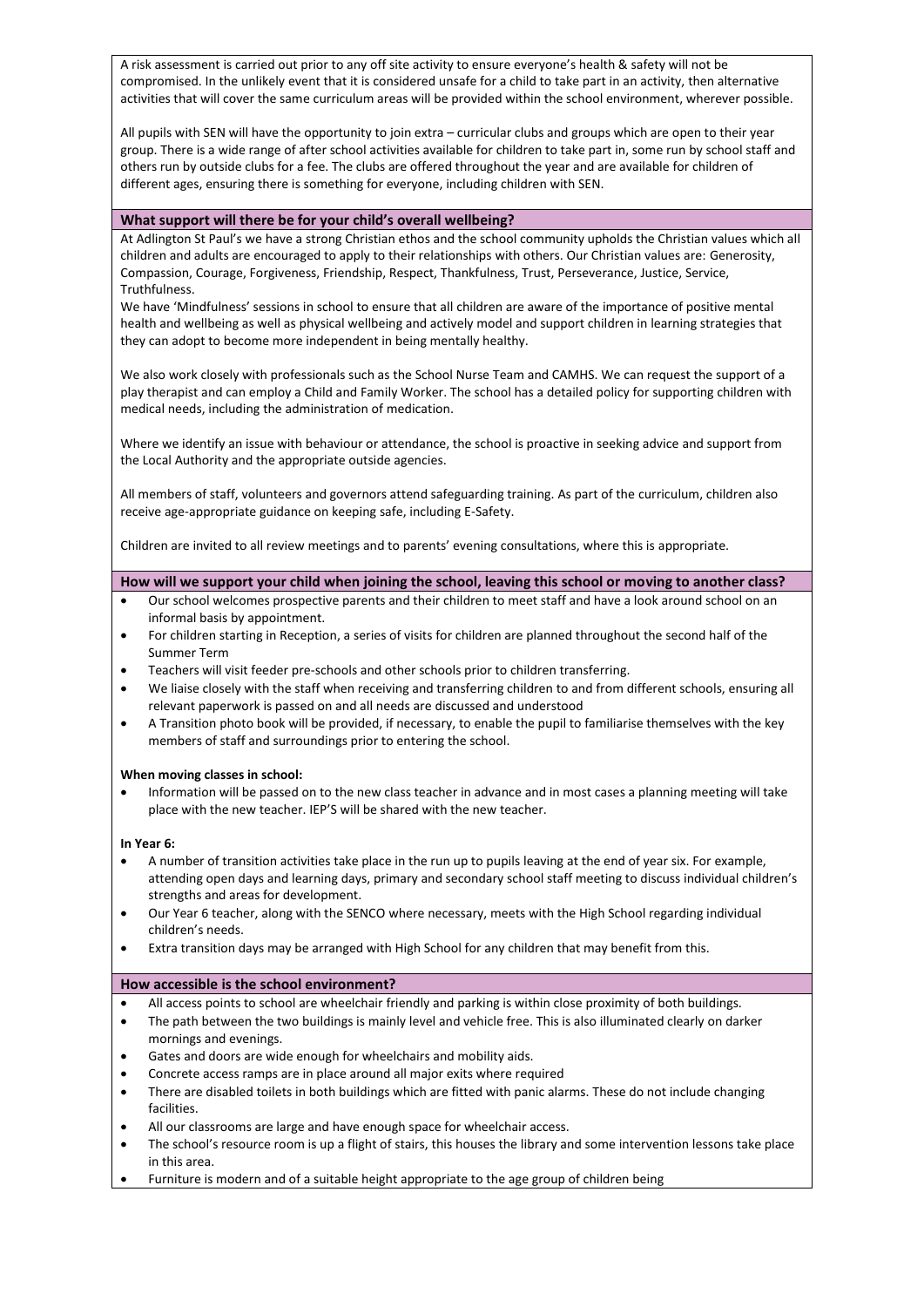A risk assessment is carried out prior to any off site activity to ensure everyone's health & safety will not be compromised. In the unlikely event that it is considered unsafe for a child to take part in an activity, then alternative activities that will cover the same curriculum areas will be provided within the school environment, wherever possible.

All pupils with SEN will have the opportunity to join extra – curricular clubs and groups which are open to their year group. There is a wide range of after school activities available for children to take part in, some run by school staff and others run by outside clubs for a fee. The clubs are offered throughout the year and are available for children of different ages, ensuring there is something for everyone, including children with SEN.

### **What support will there be for your child's overall wellbeing?**

At Adlington St Paul's we have a strong Christian ethos and the school community upholds the Christian values which all children and adults are encouraged to apply to their relationships with others. Our Christian values are: Generosity, Compassion, Courage, Forgiveness, Friendship, Respect, Thankfulness, Trust, Perseverance, Justice, Service, Truthfulness.

We have 'Mindfulness' sessions in school to ensure that all children are aware of the importance of positive mental health and wellbeing as well as physical wellbeing and actively model and support children in learning strategies that they can adopt to become more independent in being mentally healthy.

We also work closely with professionals such as the School Nurse Team and CAMHS. We can request the support of a play therapist and can employ a Child and Family Worker. The school has a detailed policy for supporting children with medical needs, including the administration of medication.

Where we identify an issue with behaviour or attendance, the school is proactive in seeking advice and support from the Local Authority and the appropriate outside agencies.

All members of staff, volunteers and governors attend safeguarding training. As part of the curriculum, children also receive age-appropriate guidance on keeping safe, including E-Safety.

Children are invited to all review meetings and to parents' evening consultations, where this is appropriate.

# **How will we support your child when joining the school, leaving this school or moving to another class?**

- Our school welcomes prospective parents and their children to meet staff and have a look around school on an informal basis by appointment.
- For children starting in Reception, a series of visits for children are planned throughout the second half of the Summer Term
- Teachers will visit feeder pre-schools and other schools prior to children transferring.
- We liaise closely with the staff when receiving and transferring children to and from different schools, ensuring all relevant paperwork is passed on and all needs are discussed and understood
- A Transition photo book will be provided, if necessary, to enable the pupil to familiarise themselves with the key members of staff and surroundings prior to entering the school.

### **When moving classes in school:**

• Information will be passed on to the new class teacher in advance and in most cases a planning meeting will take place with the new teacher. IEP'S will be shared with the new teacher.

### **In Year 6:**

- A number of transition activities take place in the run up to pupils leaving at the end of year six. For example, attending open days and learning days, primary and secondary school staff meeting to discuss individual children's strengths and areas for development.
- Our Year 6 teacher, along with the SENCO where necessary, meets with the High School regarding individual children's needs.
- Extra transition days may be arranged with High School for any children that may benefit from this.

### **How accessible is the school environment?**

- All access points to school are wheelchair friendly and parking is within close proximity of both buildings.
- The path between the two buildings is mainly level and vehicle free. This is also illuminated clearly on darker mornings and evenings.
- Gates and doors are wide enough for wheelchairs and mobility aids.
- Concrete access ramps are in place around all major exits where required
- There are disabled toilets in both buildings which are fitted with panic alarms. These do not include changing facilities.
- All our classrooms are large and have enough space for wheelchair access.
- The school's resource room is up a flight of stairs, this houses the library and some intervention lessons take place in this area.
- Furniture is modern and of a suitable height appropriate to the age group of children being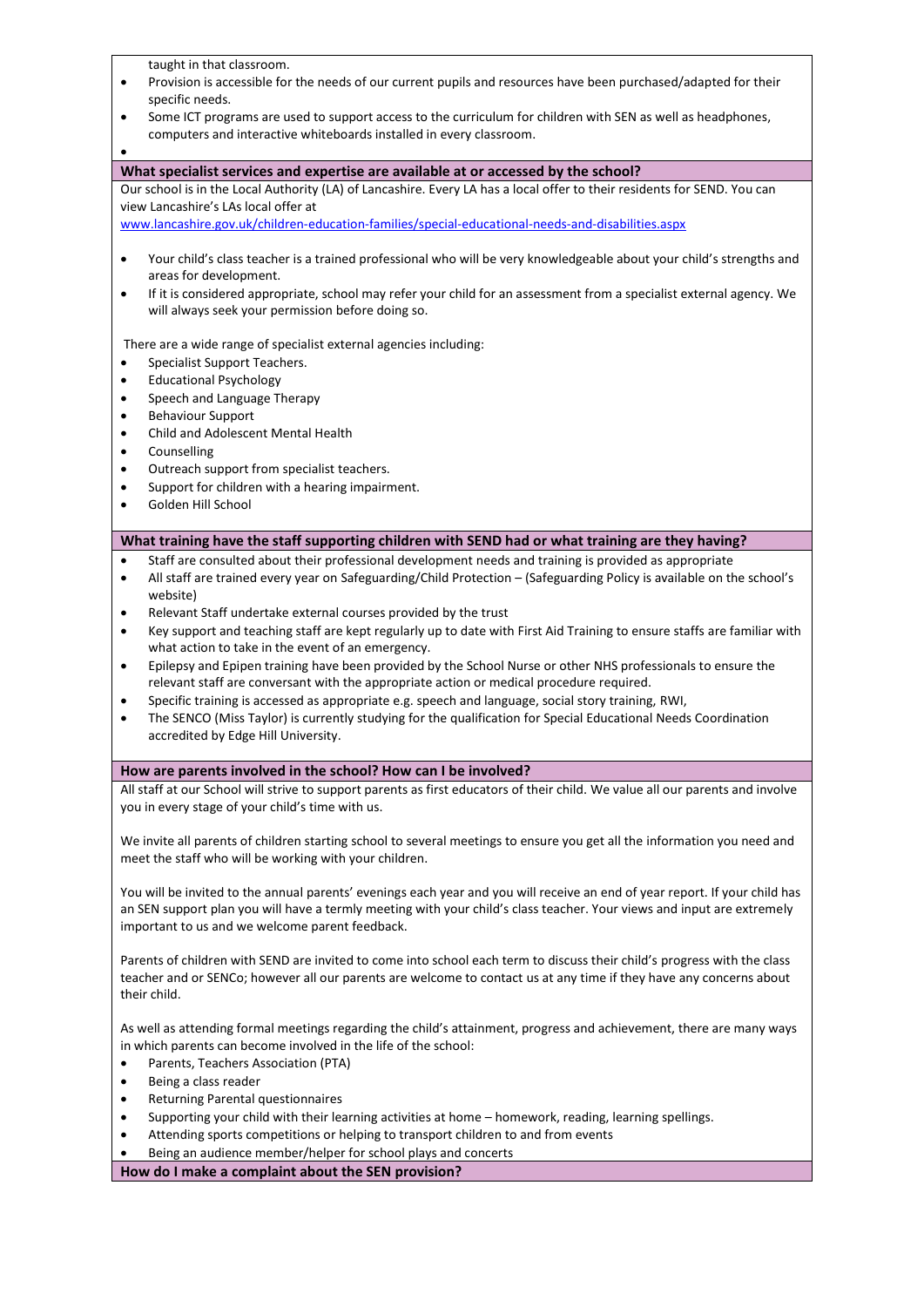taught in that classroom. • Provision is accessible for the needs of our current pupils and resources have been purchased/adapted for their specific needs. • Some ICT programs are used to support access to the curriculum for children with SEN as well as headphones, computers and interactive whiteboards installed in every classroom. • **What specialist services and expertise are available at or accessed by the school?** Our school is in the Local Authority (LA) of Lancashire. Every LA has a local offer to their residents for SEND. You can view Lancashire's LAs local offer at [www.lancashire.gov.uk/children-education-families/special-educational-needs-and-disabilities.aspx](http://www.lancashire.gov.uk/children-education-families/special-educational-needs-and-disabilities.aspx) • Your child's class teacher is a trained professional who will be very knowledgeable about your child's strengths and areas for development. • If it is considered appropriate, school may refer your child for an assessment from a specialist external agency. We will always seek your permission before doing so. There are a wide range of specialist external agencies including: Specialist Support Teachers. • Educational Psychology • Speech and Language Therapy • Behaviour Support • Child and Adolescent Mental Health • Counselling • Outreach support from specialist teachers. • Support for children with a hearing impairment. • Golden Hill School **What training have the staff supporting children with SEND had or what training are they having?** • Staff are consulted about their professional development needs and training is provided as appropriate • All staff are trained every year on Safeguarding/Child Protection – (Safeguarding Policy is available on the school's website) • Relevant Staff undertake external courses provided by the trust • Key support and teaching staff are kept regularly up to date with First Aid Training to ensure staffs are familiar with what action to take in the event of an emergency. • Epilepsy and Epipen training have been provided by the School Nurse or other NHS professionals to ensure the relevant staff are conversant with the appropriate action or medical procedure required. • Specific training is accessed as appropriate e.g. speech and language, social story training, RWI, • The SENCO (Miss Taylor) is currently studying for the qualification for Special Educational Needs Coordination accredited by Edge Hill University. **How are parents involved in the school? How can I be involved?** All staff at our School will strive to support parents as first educators of their child. We value all our parents and involve you in every stage of your child's time with us. We invite all parents of children starting school to several meetings to ensure you get all the information you need and meet the staff who will be working with your children. You will be invited to the annual parents' evenings each year and you will receive an end of year report. If your child has an SEN support plan you will have a termly meeting with your child's class teacher. Your views and input are extremely important to us and we welcome parent feedback. Parents of children with SEND are invited to come into school each term to discuss their child's progress with the class teacher and or SENCo; however all our parents are welcome to contact us at any time if they have any concerns about their child. As well as attending formal meetings regarding the child's attainment, progress and achievement, there are many ways in which parents can become involved in the life of the school: • Parents, Teachers Association (PTA) Being a class reader • Returning Parental questionnaires • Supporting your child with their learning activities at home – homework, reading, learning spellings. • Attending sports competitions or helping to transport children to and from events • Being an audience member/helper for school plays and concerts **How do I make a complaint about the SEN provision?**